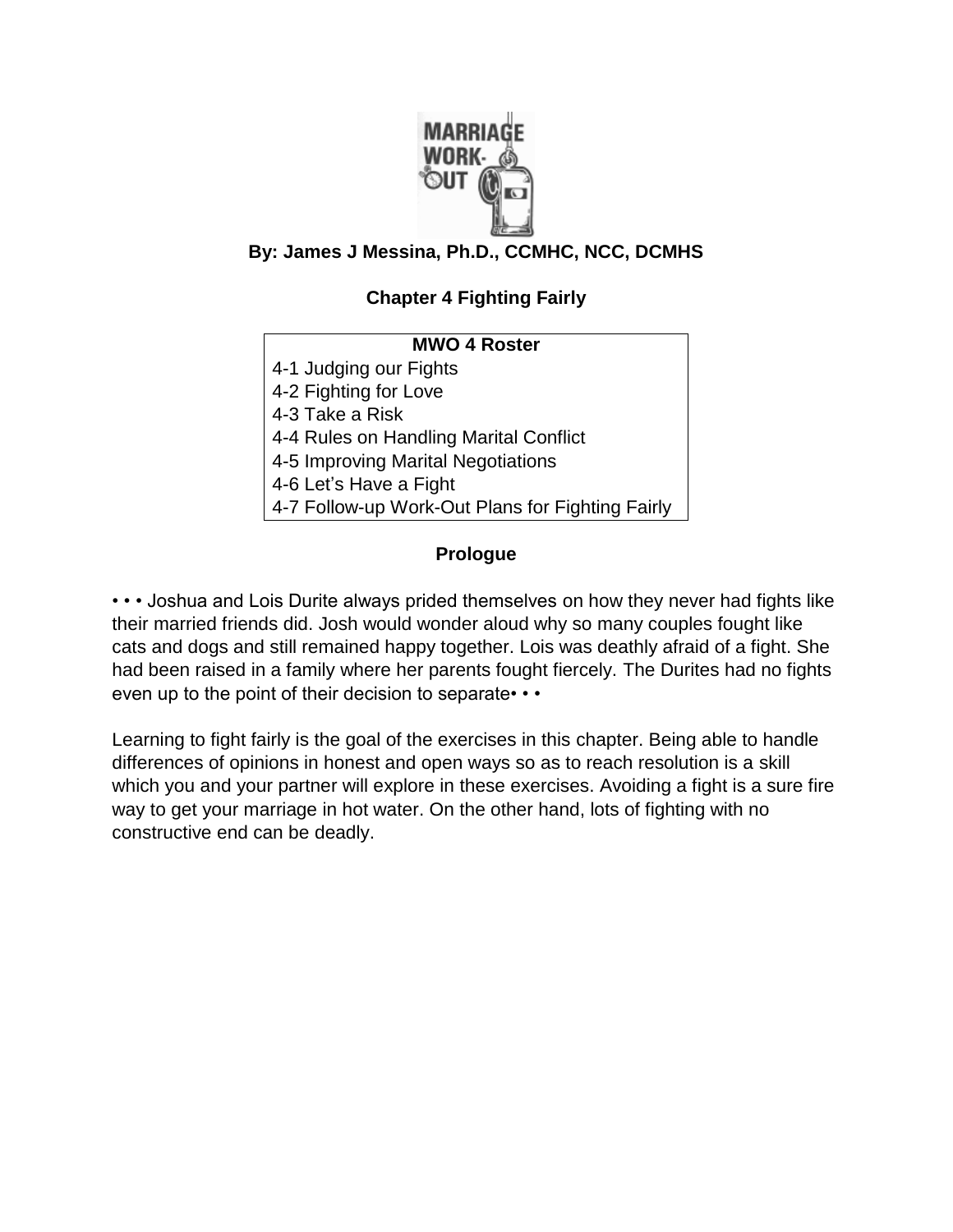

# **By: James J Messina, Ph.D., CCMHC, NCC, DCMHS**

# **Chapter 4 Fighting Fairly**

# **MWO 4 Roster** 4-1 Judging our Fights 4-2 Fighting for Love 4-3 Take a Risk 4-4 Rules on Handling Marital Conflict 4-5 Improving Marital Negotiations 4-6 Let's Have a Fight 4-7 Follow-up Work-Out Plans for Fighting Fairly

# **Prologue**

• • • Joshua and Lois Durite always prided themselves on how they never had fights like their married friends did. Josh would wonder aloud why so many couples fought like cats and dogs and still remained happy together. Lois was deathly afraid of a fight. She had been raised in a family where her parents fought fiercely. The Durites had no fights even up to the point of their decision to separate• • •

Learning to fight fairly is the goal of the exercises in this chapter. Being able to handle differences of opinions in honest and open ways so as to reach resolution is a skill which you and your partner will explore in these exercises. Avoiding a fight is a sure fire way to get your marriage in hot water. On the other hand, lots of fighting with no constructive end can be deadly.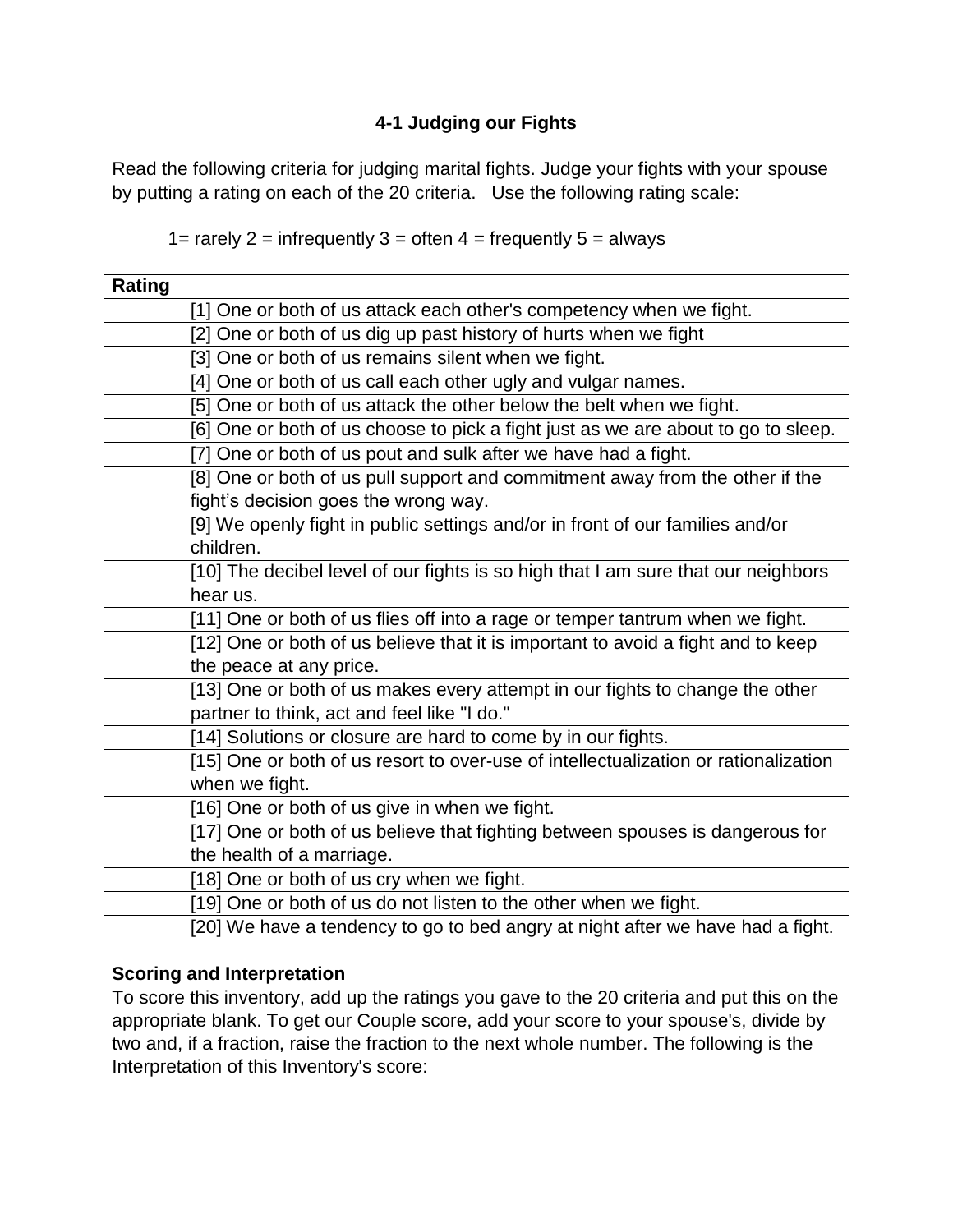# **4-1 Judging our Fights**

Read the following criteria for judging marital fights. Judge your fights with your spouse by putting a rating on each of the 20 criteria. Use the following rating scale:

#### 1= rarely  $2$  = infrequently  $3$  = often  $4$  = frequently  $5$  = always

| Rating |                                                                                     |
|--------|-------------------------------------------------------------------------------------|
|        | [1] One or both of us attack each other's competency when we fight.                 |
|        | [2] One or both of us dig up past history of hurts when we fight                    |
|        | [3] One or both of us remains silent when we fight.                                 |
|        | [4] One or both of us call each other ugly and vulgar names.                        |
|        | [5] One or both of us attack the other below the belt when we fight.                |
|        | [6] One or both of us choose to pick a fight just as we are about to go to sleep.   |
|        | [7] One or both of us pout and sulk after we have had a fight.                      |
|        | [8] One or both of us pull support and commitment away from the other if the        |
|        | fight's decision goes the wrong way.                                                |
|        | [9] We openly fight in public settings and/or in front of our families and/or       |
|        | children.                                                                           |
|        | [10] The decibel level of our fights is so high that I am sure that our neighbors   |
|        | hear us.                                                                            |
|        | [11] One or both of us flies off into a rage or temper tantrum when we fight.       |
|        | [12] One or both of us believe that it is important to avoid a fight and to keep    |
|        | the peace at any price.                                                             |
|        | [13] One or both of us makes every attempt in our fights to change the other        |
|        | partner to think, act and feel like "I do."                                         |
|        | [14] Solutions or closure are hard to come by in our fights.                        |
|        | [15] One or both of us resort to over-use of intellectualization or rationalization |
|        | when we fight.                                                                      |
|        | [16] One or both of us give in when we fight.                                       |
|        | [17] One or both of us believe that fighting between spouses is dangerous for       |
|        | the health of a marriage.                                                           |
|        | [18] One or both of us cry when we fight.                                           |
|        | [19] One or both of us do not listen to the other when we fight.                    |
|        | [20] We have a tendency to go to bed angry at night after we have had a fight.      |

#### **Scoring and Interpretation**

To score this inventory, add up the ratings you gave to the 20 criteria and put this on the appropriate blank. To get our Couple score, add your score to your spouse's, divide by two and, if a fraction, raise the fraction to the next whole number. The following is the Interpretation of this Inventory's score: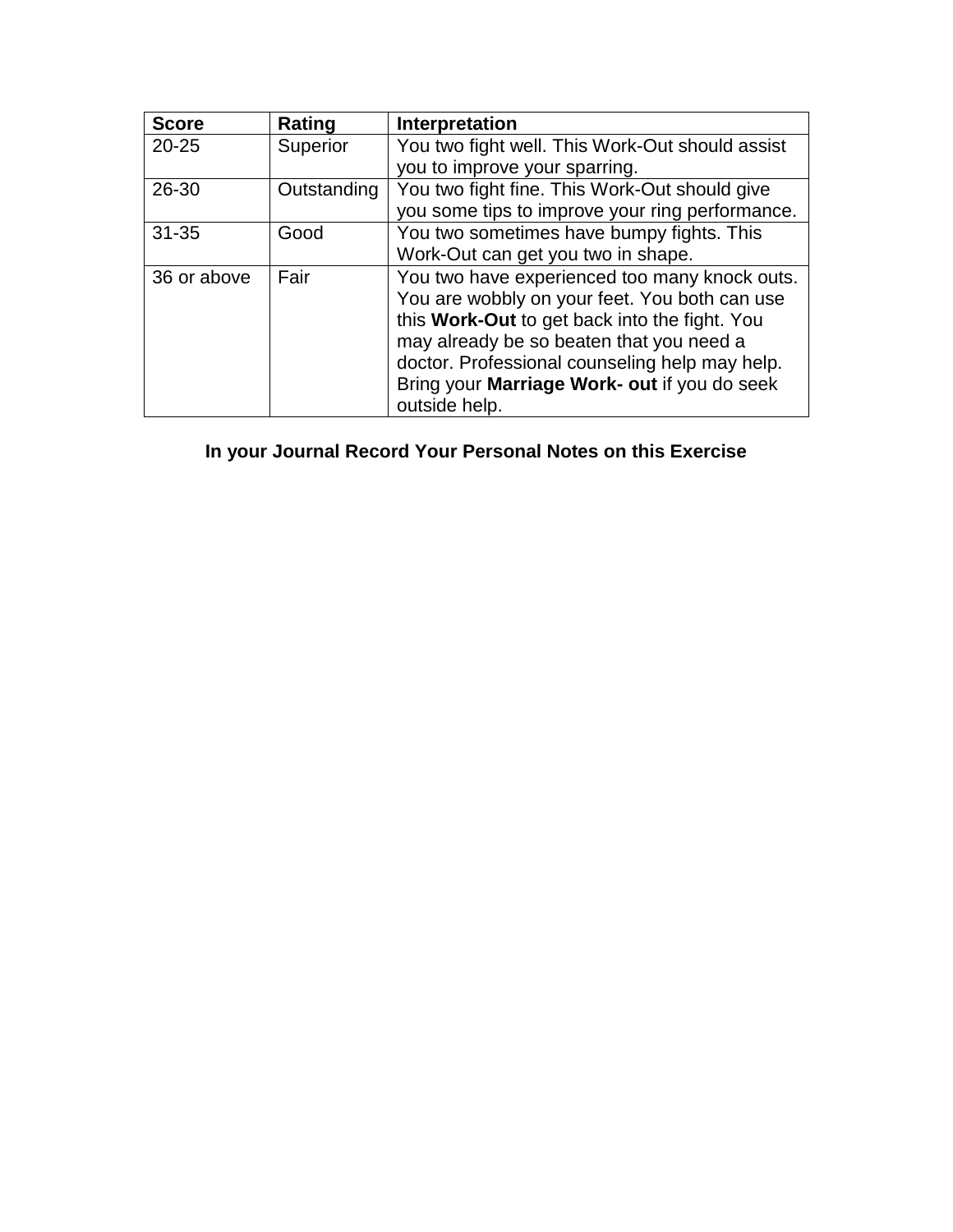| <b>Score</b> | Rating      | Interpretation                                  |  |
|--------------|-------------|-------------------------------------------------|--|
| $20 - 25$    | Superior    | You two fight well. This Work-Out should assist |  |
|              |             | you to improve your sparring.                   |  |
| 26-30        | Outstanding | You two fight fine. This Work-Out should give   |  |
|              |             | you some tips to improve your ring performance. |  |
| $31 - 35$    | Good        | You two sometimes have bumpy fights. This       |  |
|              |             | Work-Out can get you two in shape.              |  |
| 36 or above  | Fair        | You two have experienced too many knock outs.   |  |
|              |             | You are wobbly on your feet. You both can use   |  |
|              |             | this Work-Out to get back into the fight. You   |  |
|              |             | may already be so beaten that you need a        |  |
|              |             | doctor. Professional counseling help may help.  |  |
|              |             | Bring your Marriage Work- out if you do seek    |  |
|              |             | outside help.                                   |  |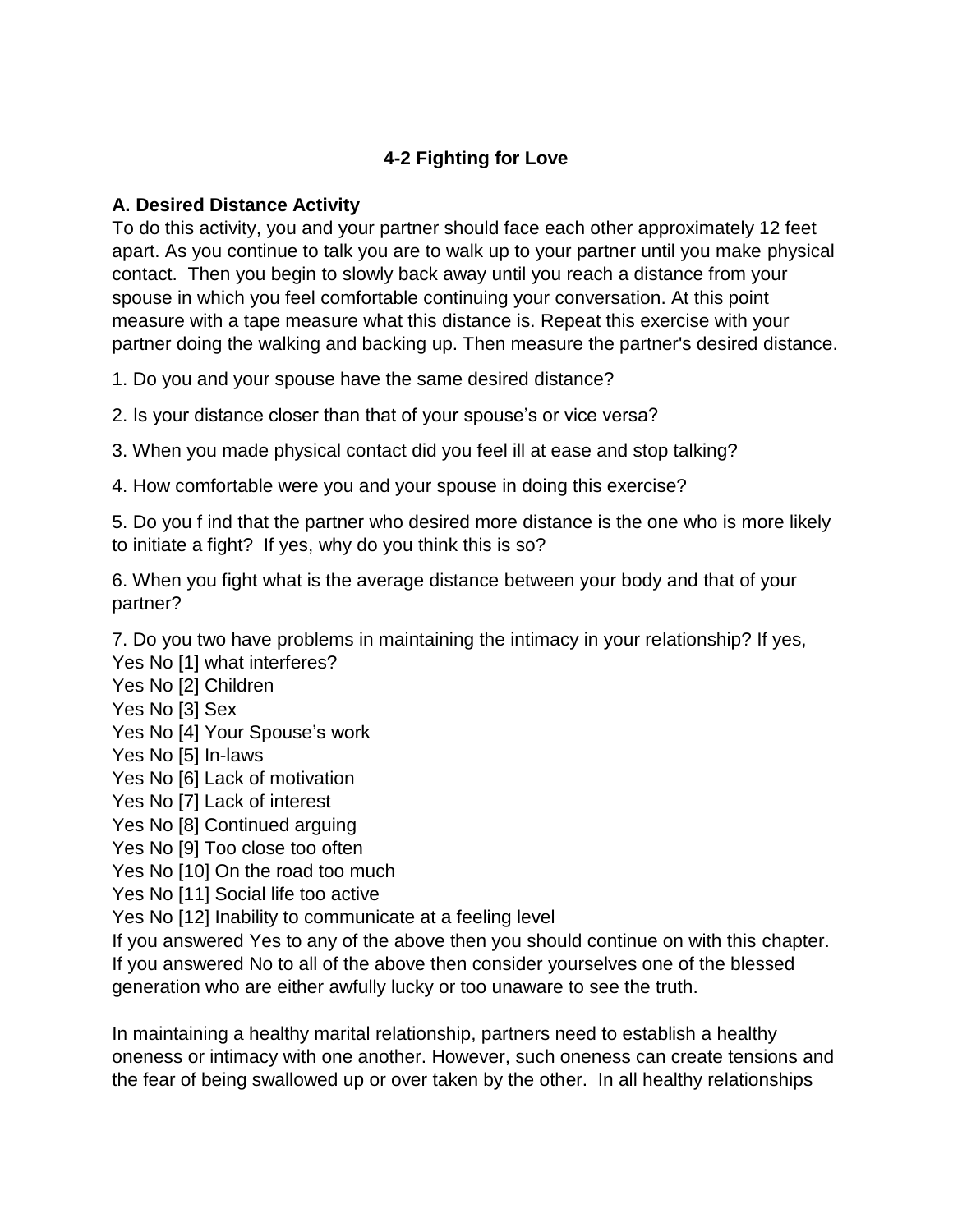# **4-2 Fighting for Love**

#### **A. Desired Distance Activity**

To do this activity, you and your partner should face each other approximately 12 feet apart. As you continue to talk you are to walk up to your partner until you make physical contact. Then you begin to slowly back away until you reach a distance from your spouse in which you feel comfortable continuing your conversation. At this point measure with a tape measure what this distance is. Repeat this exercise with your partner doing the walking and backing up. Then measure the partner's desired distance.

1. Do you and your spouse have the same desired distance?

2. Is your distance closer than that of your spouse's or vice versa?

3. When you made physical contact did you feel ill at ease and stop talking?

4. How comfortable were you and your spouse in doing this exercise?

5. Do you f ind that the partner who desired more distance is the one who is more likely to initiate a fight? If yes, why do you think this is so?

6. When you fight what is the average distance between your body and that of your partner?

7. Do you two have problems in maintaining the intimacy in your relationship? If yes,

Yes No [1] what interferes?

Yes No [2] Children

Yes No [3] Sex

Yes No [4] Your Spouse's work

Yes No [5] In-laws

Yes No [6] Lack of motivation

Yes No [7] Lack of interest

Yes No [8] Continued arguing

Yes No [9] Too close too often

Yes No [10] On the road too much

Yes No [11] Social life too active

Yes No [12] Inability to communicate at a feeling level

If you answered Yes to any of the above then you should continue on with this chapter. If you answered No to all of the above then consider yourselves one of the blessed generation who are either awfully lucky or too unaware to see the truth.

In maintaining a healthy marital relationship, partners need to establish a healthy oneness or intimacy with one another. However, such oneness can create tensions and the fear of being swallowed up or over taken by the other. In all healthy relationships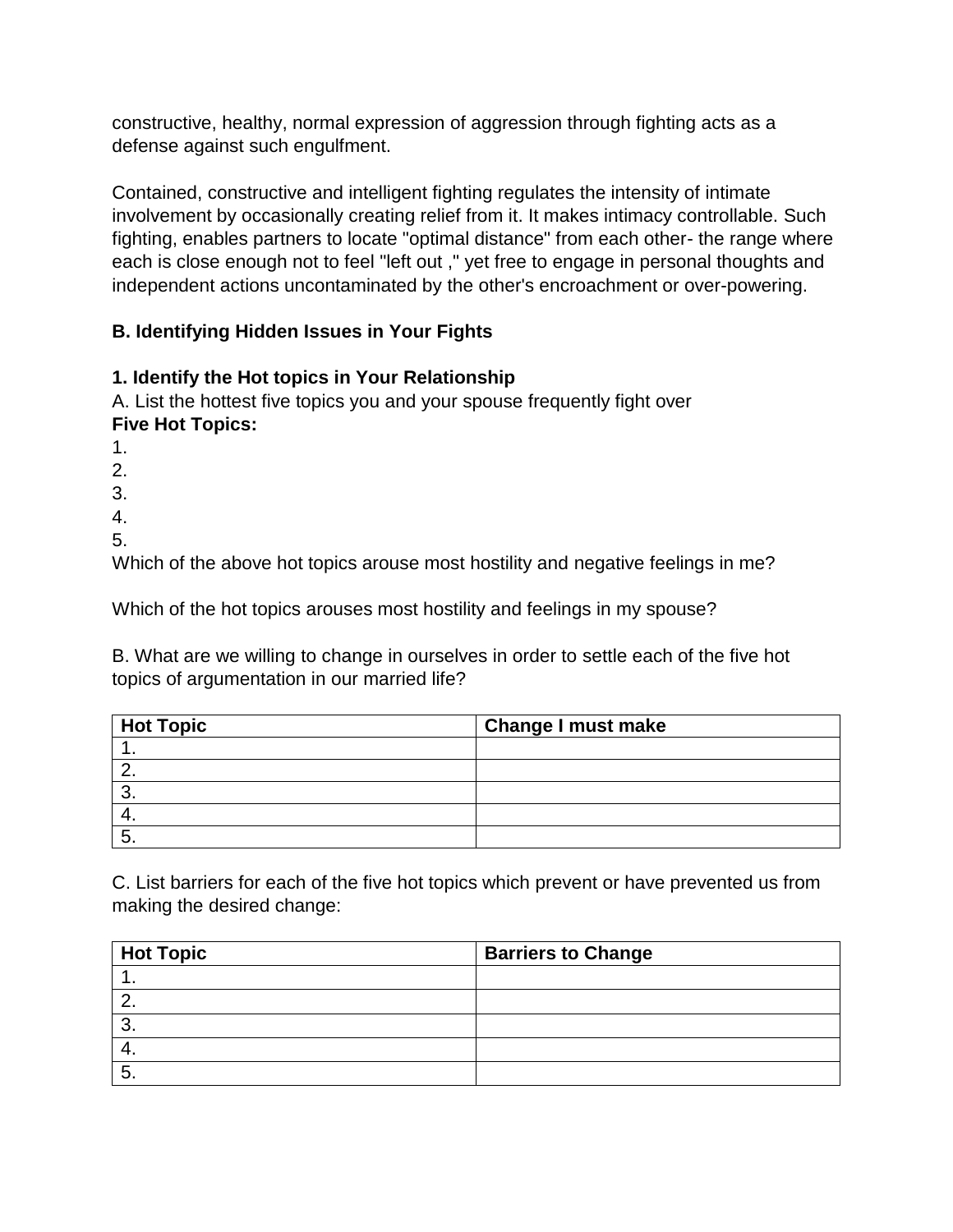constructive, healthy, normal expression of aggression through fighting acts as a defense against such engulfment.

Contained, constructive and intelligent fighting regulates the intensity of intimate involvement by occasionally creating relief from it. It makes intimacy controllable. Such fighting, enables partners to locate "optimal distance" from each other- the range where each is close enough not to feel "left out ," yet free to engage in personal thoughts and independent actions uncontaminated by the other's encroachment or over-powering.

# **B. Identifying Hidden Issues in Your Fights**

# **1. Identify the Hot topics in Your Relationship**

A. List the hottest five topics you and your spouse frequently fight over **Five Hot Topics:**

1. 2.

3. 4.

5.

Which of the above hot topics arouse most hostility and negative feelings in me?

Which of the hot topics arouses most hostility and feelings in my spouse?

B. What are we willing to change in ourselves in order to settle each of the five hot topics of argumentation in our married life?

| <b>Hot Topic</b> | <b>Change I must make</b> |
|------------------|---------------------------|
|                  |                           |
|                  |                           |
|                  |                           |
|                  |                           |
|                  |                           |

C. List barriers for each of the five hot topics which prevent or have prevented us from making the desired change:

| <b>Hot Topic</b> | <b>Barriers to Change</b> |
|------------------|---------------------------|
|                  |                           |
|                  |                           |
|                  |                           |
|                  |                           |
|                  |                           |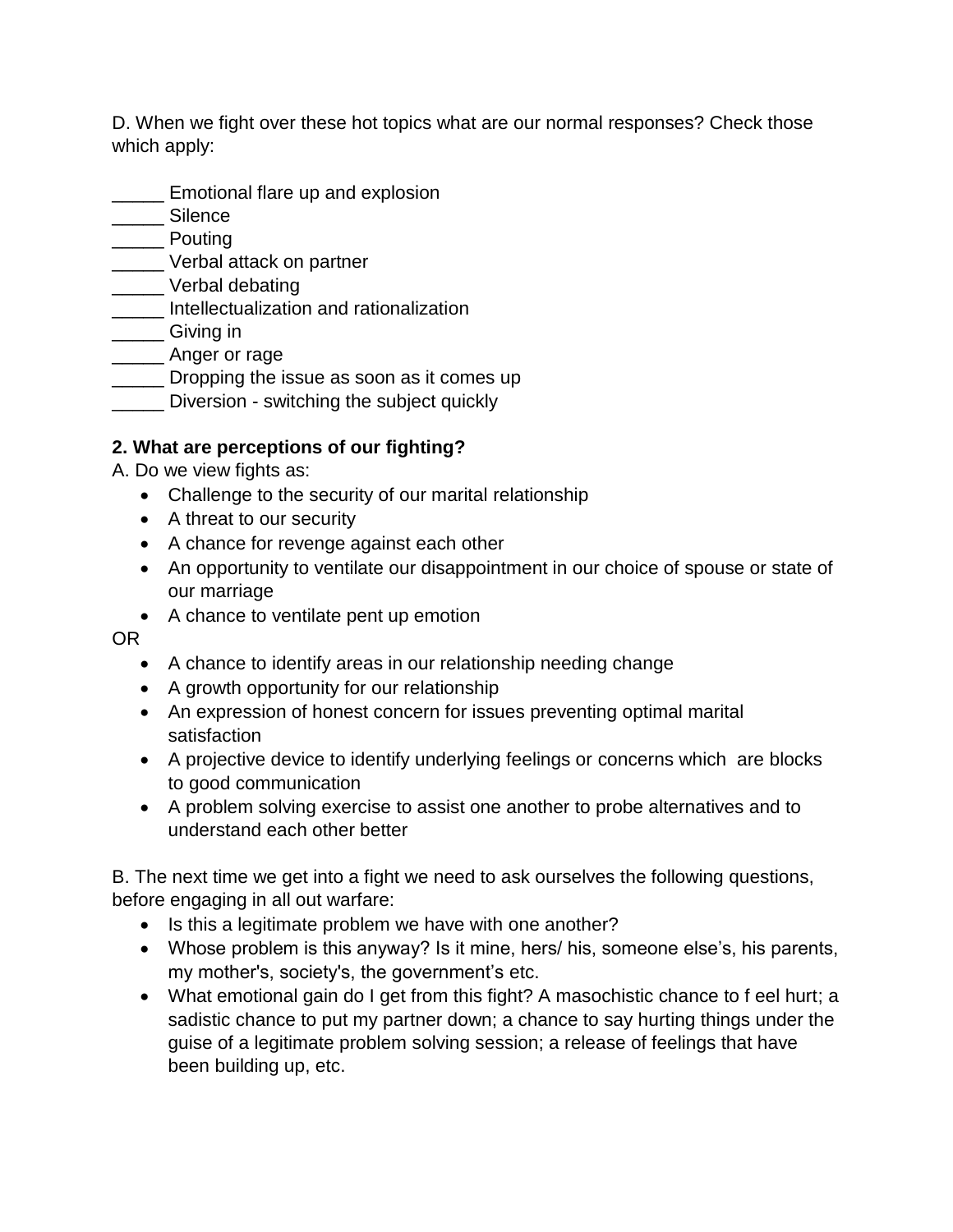D. When we fight over these hot topics what are our normal responses? Check those which apply:

- **Emotional flare up and explosion**
- \_\_\_\_\_ Silence
- \_\_\_\_\_ Pouting
- **\_\_\_\_\_** Verbal attack on partner
- \_\_\_\_\_ Verbal debating
- \_\_\_\_\_ Intellectualization and rationalization
- \_\_\_\_\_ Giving in
- \_\_\_\_\_ Anger or rage
- **Example 1** Dropping the issue as soon as it comes up
- **\_\_\_\_\_** Diversion switching the subject quickly

# **2. What are perceptions of our fighting?**

- A. Do we view fights as:
	- Challenge to the security of our marital relationship
	- A threat to our security
	- A chance for revenge against each other
	- An opportunity to ventilate our disappointment in our choice of spouse or state of our marriage
	- A chance to ventilate pent up emotion

OR

- A chance to identify areas in our relationship needing change
- A growth opportunity for our relationship
- An expression of honest concern for issues preventing optimal marital satisfaction
- A projective device to identify underlying feelings or concerns which are blocks to good communication
- A problem solving exercise to assist one another to probe alternatives and to understand each other better

B. The next time we get into a fight we need to ask ourselves the following questions, before engaging in all out warfare:

- Is this a legitimate problem we have with one another?
- Whose problem is this anyway? Is it mine, hers/ his, someone else's, his parents, my mother's, society's, the government's etc.
- What emotional gain do I get from this fight? A masochistic chance to f eel hurt; a sadistic chance to put my partner down; a chance to say hurting things under the guise of a legitimate problem solving session; a release of feelings that have been building up, etc.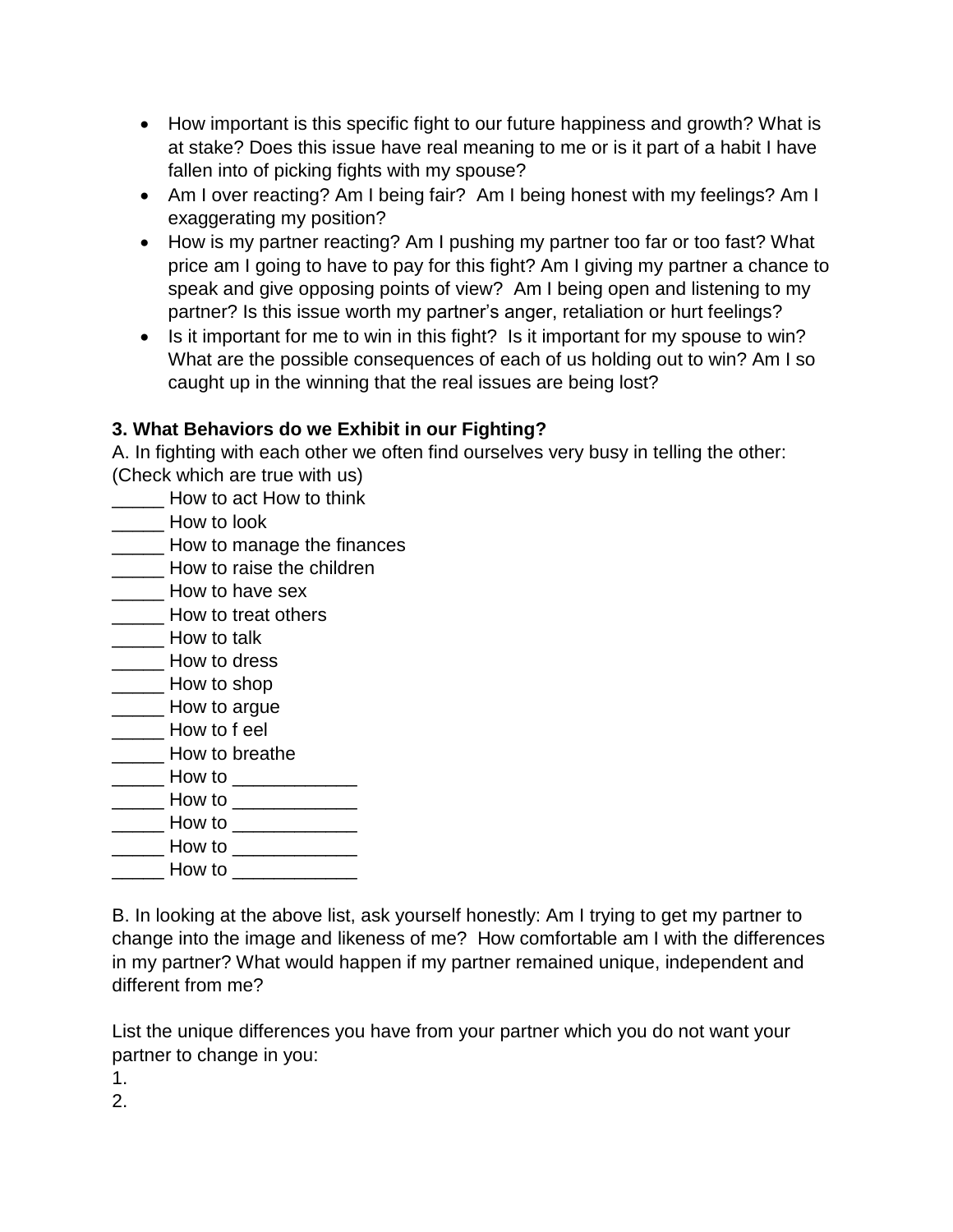- How important is this specific fight to our future happiness and growth? What is at stake? Does this issue have real meaning to me or is it part of a habit I have fallen into of picking fights with my spouse?
- Am I over reacting? Am I being fair? Am I being honest with my feelings? Am I exaggerating my position?
- How is my partner reacting? Am I pushing my partner too far or too fast? What price am I going to have to pay for this fight? Am I giving my partner a chance to speak and give opposing points of view? Am I being open and listening to my partner? Is this issue worth my partner's anger, retaliation or hurt feelings?
- Is it important for me to win in this fight? Is it important for my spouse to win? What are the possible consequences of each of us holding out to win? Am I so caught up in the winning that the real issues are being lost?

# **3. What Behaviors do we Exhibit in our Fighting?**

A. In fighting with each other we often find ourselves very busy in telling the other: (Check which are true with us)

\_\_\_\_\_ How to act How to think

How to look

- **Example 20** How to manage the finances
- **Example 2** How to raise the children
- **How to have sex**
- How to treat others
- \_\_\_\_\_ How to talk
- \_\_\_\_\_ How to dress
- How to shop
- \_\_\_\_\_ How to argue
- \_\_\_\_\_ How to f eel
- \_\_\_\_\_ How to breathe
- $\overline{\phantom{a}}$  How to  $\overline{\phantom{a}}$
- \_\_\_\_\_ How to \_\_\_\_\_\_\_\_\_\_\_\_ \_\_\_\_\_ How to \_\_\_\_\_\_\_\_\_\_\_\_
- $\mathsf{How}\ \mathsf{to}$
- \_\_\_\_\_ How to \_\_\_\_\_\_\_\_\_\_\_\_

B. In looking at the above list, ask yourself honestly: Am I trying to get my partner to change into the image and likeness of me? How comfortable am I with the differences in my partner? What would happen if my partner remained unique, independent and different from me?

List the unique differences you have from your partner which you do not want your partner to change in you:

1.

2.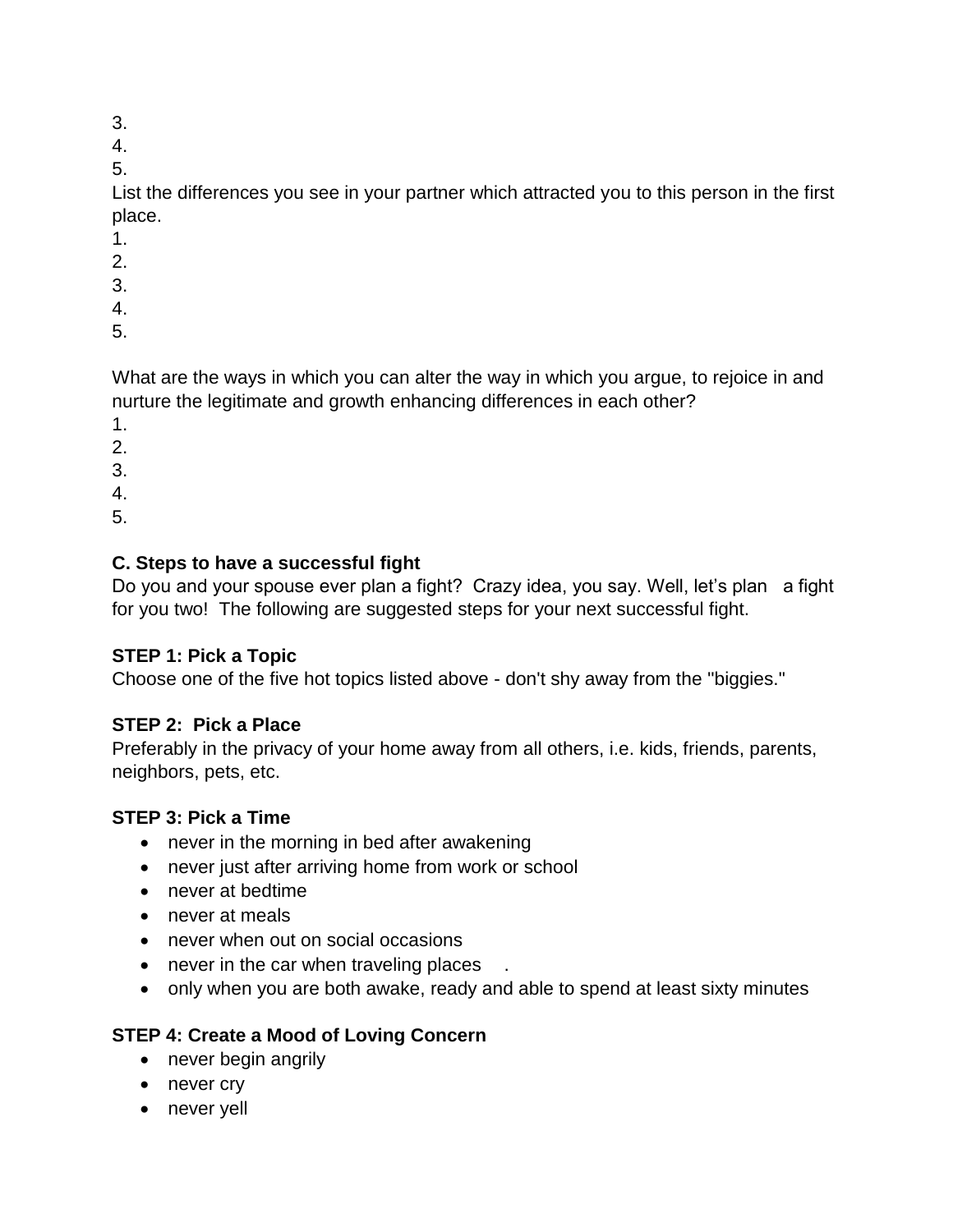- 3.
- 4.

5.

List the differences you see in your partner which attracted you to this person in the first place.

- 1.
- 2.
- 3.
- 4.
- 5.

What are the ways in which you can alter the way in which you argue, to rejoice in and nurture the legitimate and growth enhancing differences in each other?

- 1.
- 2.
- 3.
- 4.
- 5.

# **C. Steps to have a successful fight**

Do you and your spouse ever plan a fight? Crazy idea, you say. Well, let's plan a fight for you two! The following are suggested steps for your next successful fight.

# **STEP 1: Pick a Topic**

Choose one of the five hot topics listed above - don't shy away from the ''biggies."

# **STEP 2: Pick a Place**

Preferably in the privacy of your home away from all others, i.e. kids, friends, parents, neighbors, pets, etc.

#### **STEP 3: Pick a Time**

- never in the morning in bed after awakening
- never just after arriving home from work or school
- never at bedtime
- never at meals
- never when out on social occasions
- never in the car when traveling places
- only when you are both awake, ready and able to spend at least sixty minutes

# **STEP 4: Create a Mood of Loving Concern**

- never begin angrily
- never cry
- never yell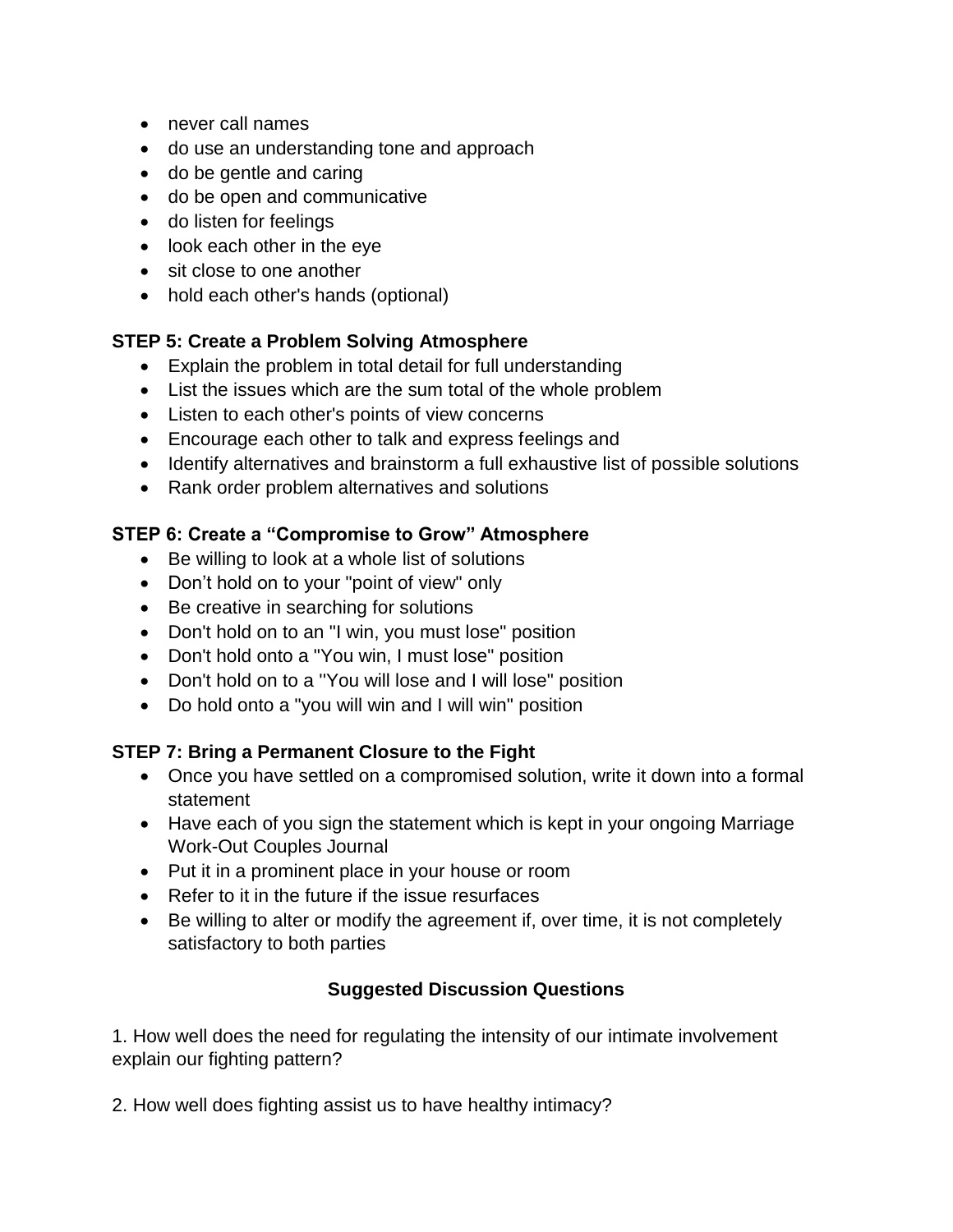- never call names
- do use an understanding tone and approach
- do be gentle and caring
- do be open and communicative
- do listen for feelings
- look each other in the eye
- sit close to one another
- hold each other's hands (optional)

# **STEP 5: Create a Problem Solving Atmosphere**

- Explain the problem in total detail for full understanding
- List the issues which are the sum total of the whole problem
- Listen to each other's points of view concerns
- Encourage each other to talk and express feelings and
- Identify alternatives and brainstorm a full exhaustive list of possible solutions
- Rank order problem alternatives and solutions

#### **STEP 6: Create a "Compromise to Grow" Atmosphere**

- Be willing to look at a whole list of solutions
- Don't hold on to your "point of view" only
- Be creative in searching for solutions
- Don't hold on to an "I win, you must lose" position
- Don't hold onto a "You win, I must lose" position
- Don't hold on to a ''You will lose and I will lose" position
- Do hold onto a "you will win and I will win" position

#### **STEP 7: Bring a Permanent Closure to the Fight**

- Once you have settled on a compromised solution, write it down into a formal statement
- Have each of you sign the statement which is kept in your ongoing Marriage Work-Out Couples Journal
- Put it in a prominent place in your house or room
- Refer to it in the future if the issue resurfaces
- Be willing to alter or modify the agreement if, over time, it is not completely satisfactory to both parties

# **Suggested Discussion Questions**

1. How well does the need for regulating the intensity of our intimate involvement explain our fighting pattern?

2. How well does fighting assist us to have healthy intimacy?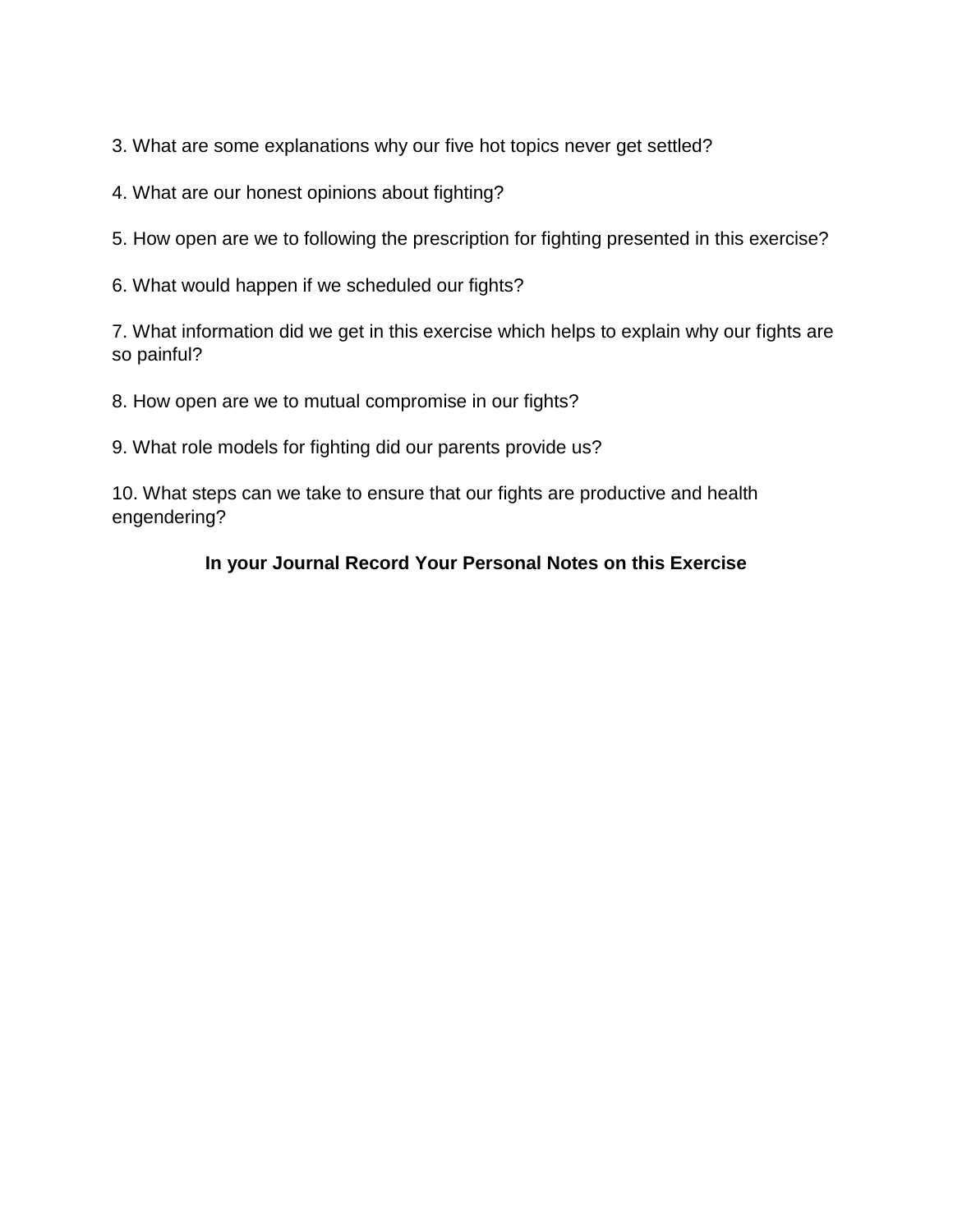3. What are some explanations why our five hot topics never get settled?

4. What are our honest opinions about fighting?

5. How open are we to following the prescription for fighting presented in this exercise?

6. What would happen if we scheduled our fights?

7. What information did we get in this exercise which helps to explain why our fights are so painful?

8. How open are we to mutual compromise in our fights?

9. What role models for fighting did our parents provide us?

10. What steps can we take to ensure that our fights are productive and health engendering?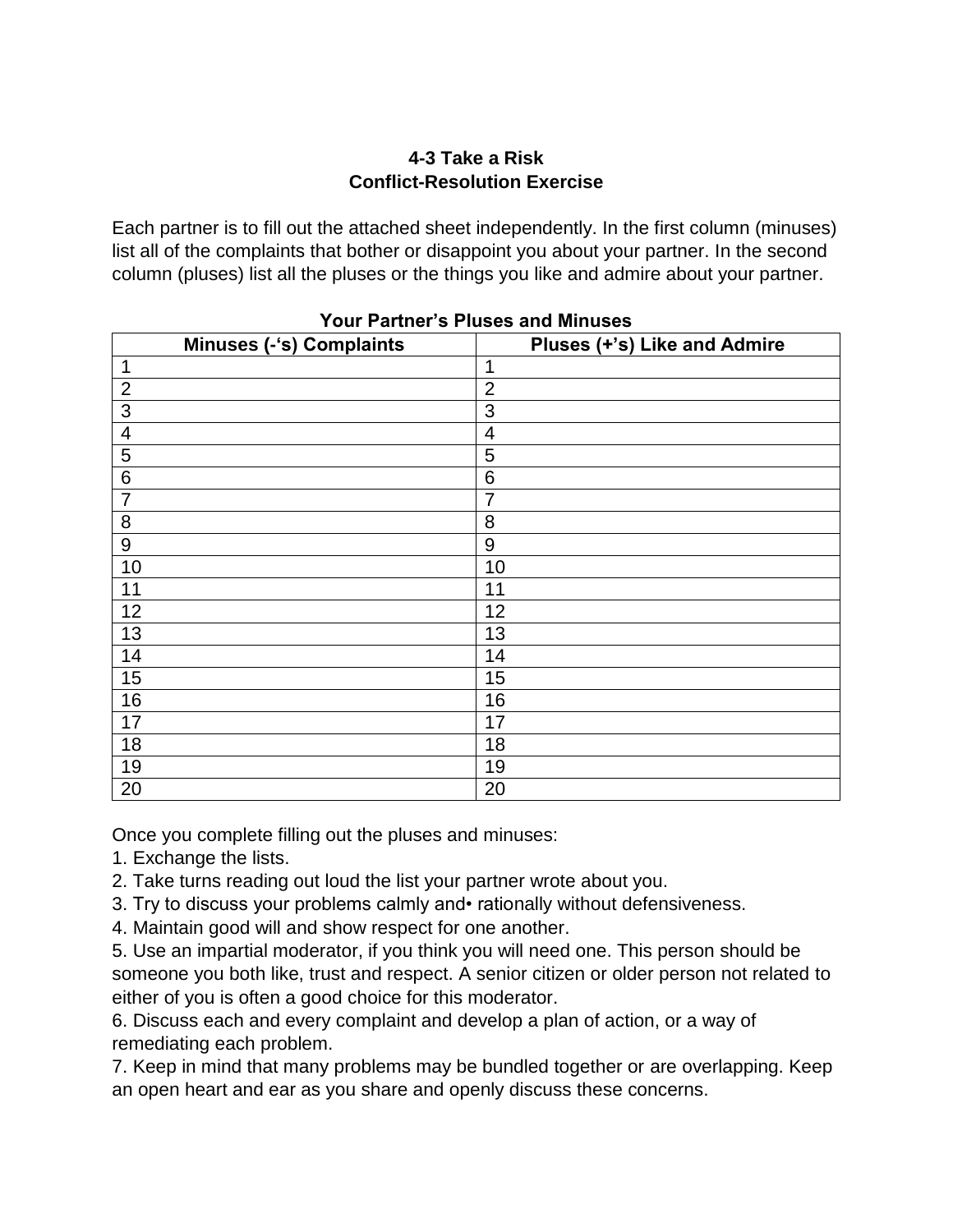#### **4-3 Take a Risk Conflict-Resolution Exercise**

Each partner is to fill out the attached sheet independently. In the first column (minuses) list all of the complaints that bother or disappoint you about your partner. In the second column (pluses) list all the pluses or the things you like and admire about your partner.

| <b>Minuses (-'s) Complaints</b> | Pluses (+'s) Like and Admire |
|---------------------------------|------------------------------|
| $\mathbf 1$                     | $\mathbf 1$                  |
| $\mathbf{2}$                    | $\overline{2}$               |
| 3                               | 3                            |
| $\overline{4}$                  | 4                            |
| $\sqrt{5}$                      | 5                            |
| $6\phantom{1}6$                 | 6                            |
| $\overline{7}$                  | $\overline{7}$               |
| 8                               | 8                            |
| $\boldsymbol{9}$                | 9                            |
| 10                              | 10                           |
| 11                              | 11                           |
| 12                              | 12                           |
| 13                              | 13                           |
| 14                              | 14                           |
| 15                              | 15                           |
| 16                              | 16                           |
| 17                              | 17                           |
| 18                              | 18                           |
| 19                              | 19                           |
| 20                              | 20                           |

#### **Your Partner's Pluses and Minuses**

Once you complete filling out the pluses and minuses:

- 1. Exchange the lists.
- 2. Take turns reading out loud the list your partner wrote about you.
- 3. Try to discuss your problems calmly and• rationally without defensiveness.
- 4. Maintain good will and show respect for one another.

5. Use an impartial moderator, if you think you will need one. This person should be someone you both like, trust and respect. A senior citizen or older person not related to either of you is often a good choice for this moderator.

6. Discuss each and every complaint and develop a plan of action, or a way of remediating each problem.

7. Keep in mind that many problems may be bundled together or are overlapping. Keep an open heart and ear as you share and openly discuss these concerns.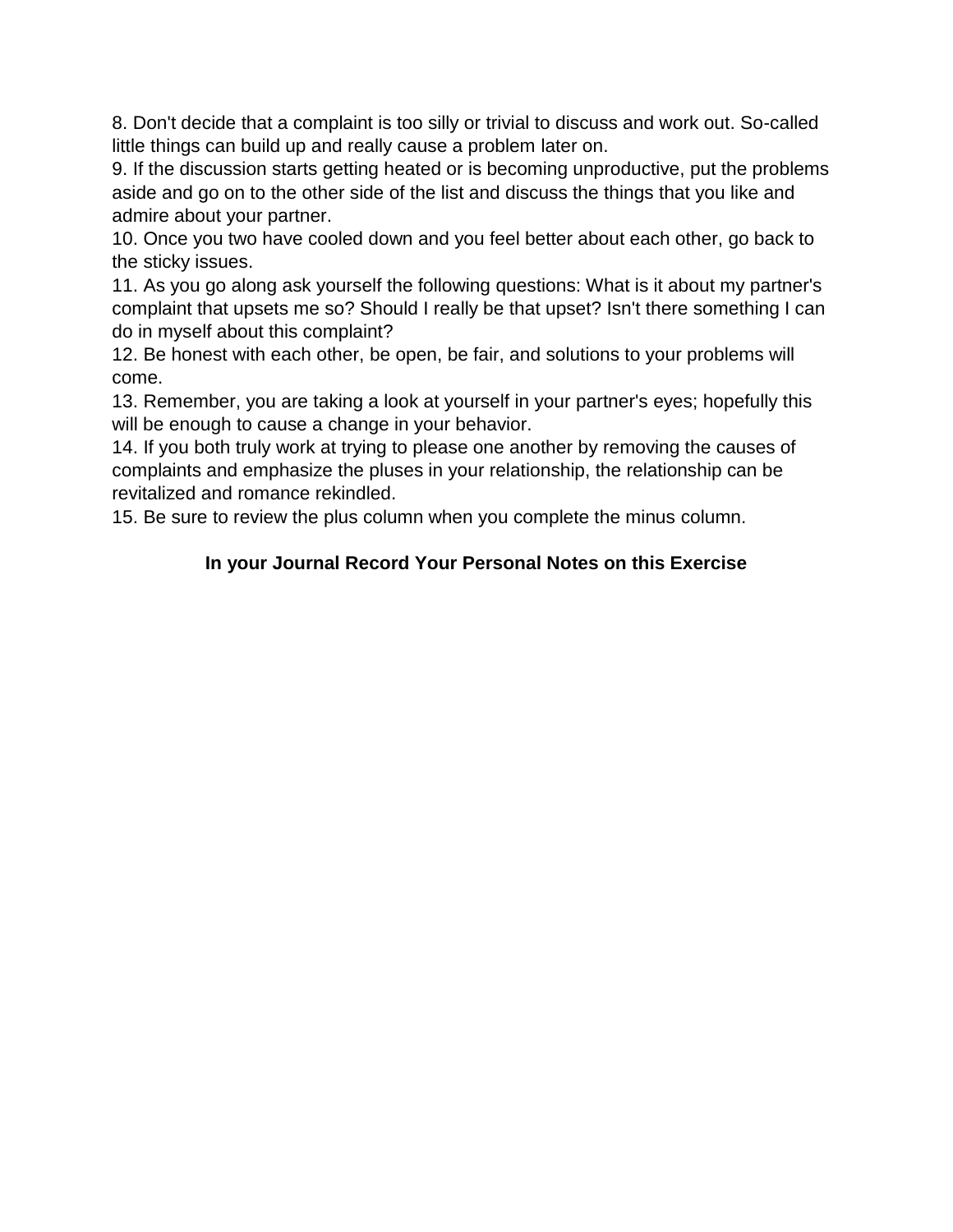8. Don't decide that a complaint is too silly or trivial to discuss and work out. So-called little things can build up and really cause a problem later on.

9. If the discussion starts getting heated or is becoming unproductive, put the problems aside and go on to the other side of the list and discuss the things that you like and admire about your partner.

10. Once you two have cooled down and you feel better about each other, go back to the sticky issues.

11. As you go along ask yourself the following questions: What is it about my partner's complaint that upsets me so? Should I really be that upset? Isn't there something I can do in myself about this complaint?

12. Be honest with each other, be open, be fair, and solutions to your problems will come.

13. Remember, you are taking a look at yourself in your partner's eyes; hopefully this will be enough to cause a change in your behavior.

14. If you both truly work at trying to please one another by removing the causes of complaints and emphasize the pluses in your relationship, the relationship can be revitalized and romance rekindled.

15. Be sure to review the plus column when you complete the minus column.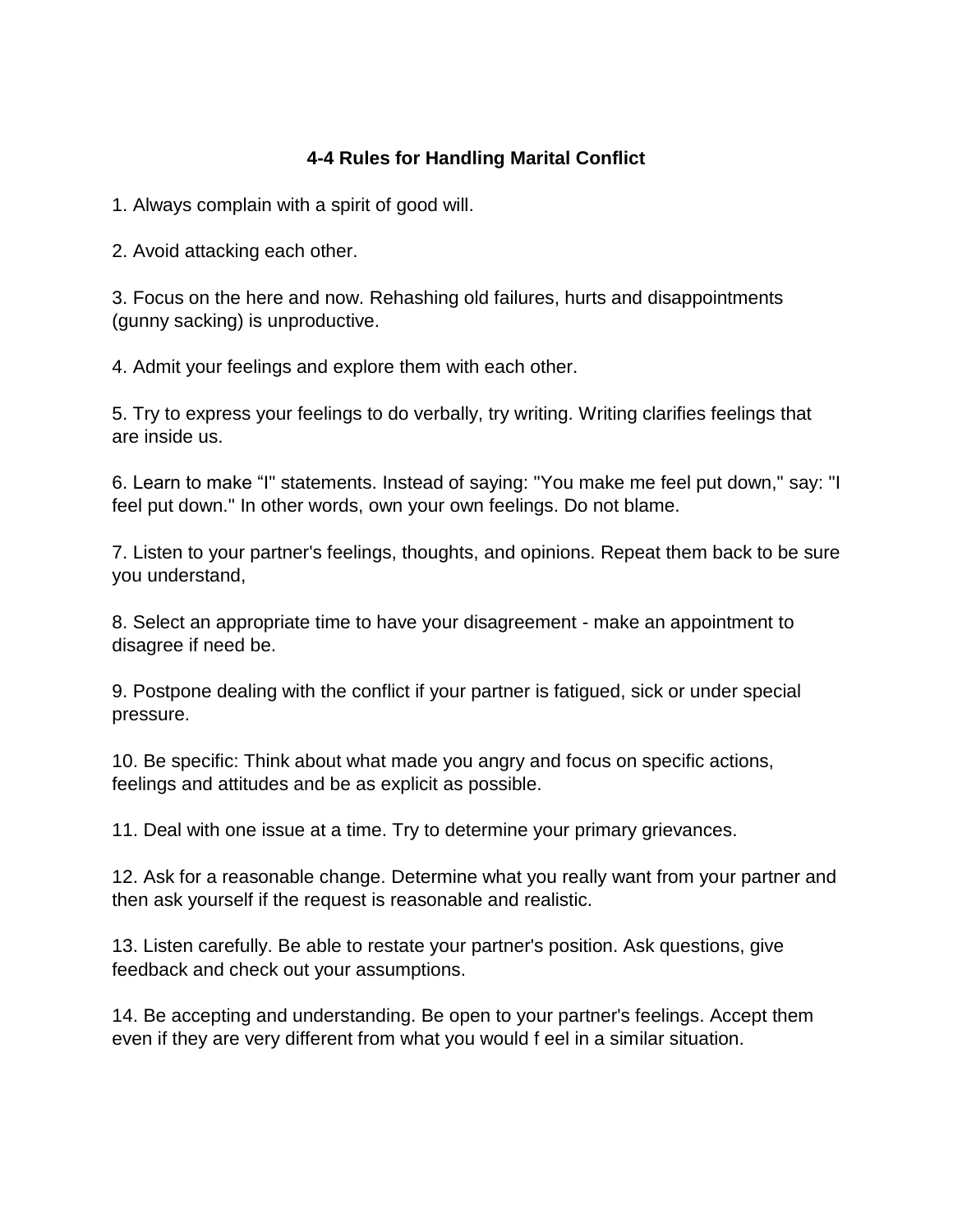# **4-4 Rules for Handling Marital Conflict**

1. Always complain with a spirit of good will.

2. Avoid attacking each other.

3. Focus on the here and now. Rehashing old failures, hurts and disappointments (gunny sacking) is unproductive.

4. Admit your feelings and explore them with each other.

5. Try to express your feelings to do verbally, try writing. Writing clarifies feelings that are inside us.

6. Learn to make "I" statements. Instead of saying: "You make me feel put down," say: "I feel put down." In other words, own your own feelings. Do not blame.

7. Listen to your partner's feelings, thoughts, and opinions. Repeat them back to be sure you understand,

8. Select an appropriate time to have your disagreement - make an appointment to disagree if need be.

9. Postpone dealing with the conflict if your partner is fatigued, sick or under special pressure.

10. Be specific: Think about what made you angry and focus on specific actions, feelings and attitudes and be as explicit as possible.

11. Deal with one issue at a time. Try to determine your primary grievances.

12. Ask for a reasonable change. Determine what you really want from your partner and then ask yourself if the request is reasonable and realistic.

13. Listen carefully. Be able to restate your partner's position. Ask questions, give feedback and check out your assumptions.

14. Be accepting and understanding. Be open to your partner's feelings. Accept them even if they are very different from what you would f eel in a similar situation.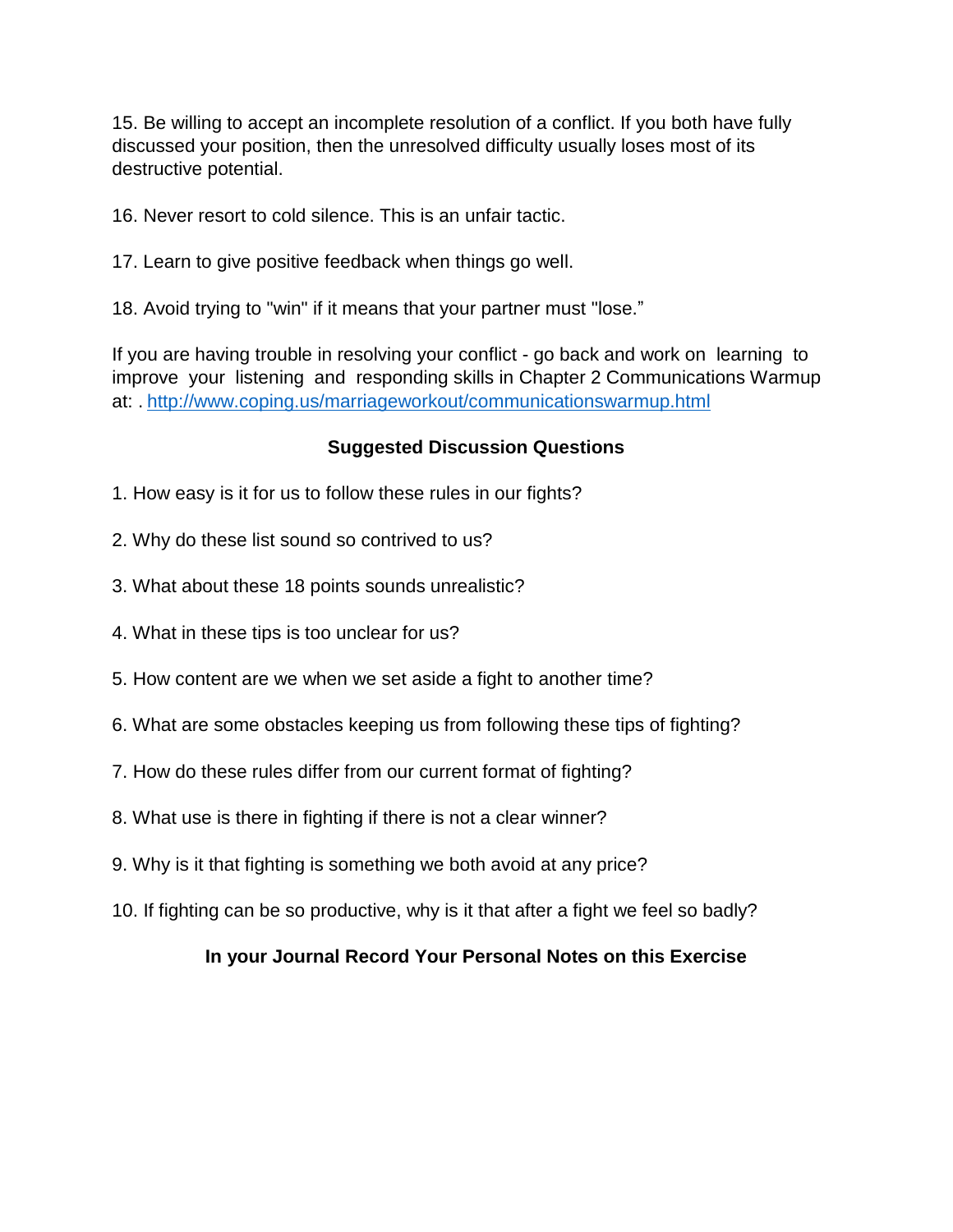15. Be willing to accept an incomplete resolution of a conflict. If you both have fully discussed your position, then the unresolved difficulty usually loses most of its destructive potential.

16. Never resort to cold silence. This is an unfair tactic.

17. Learn to give positive feedback when things go well.

18. Avoid trying to "win" if it means that your partner must "lose."

If you are having trouble in resolving your conflict - go back and work on learning to improve your listening and responding skills in Chapter 2 Communications Warmup at: . <http://www.coping.us/marriageworkout/communicationswarmup.html>

#### **Suggested Discussion Questions**

- 1. How easy is it for us to follow these rules in our fights?
- 2. Why do these list sound so contrived to us?
- 3. What about these 18 points sounds unrealistic?
- 4. What in these tips is too unclear for us?
- 5. How content are we when we set aside a fight to another time?
- 6. What are some obstacles keeping us from following these tips of fighting?
- 7. How do these rules differ from our current format of fighting?
- 8. What use is there in fighting if there is not a clear winner?
- 9. Why is it that fighting is something we both avoid at any price?
- 10. If fighting can be so productive, why is it that after a fight we feel so badly?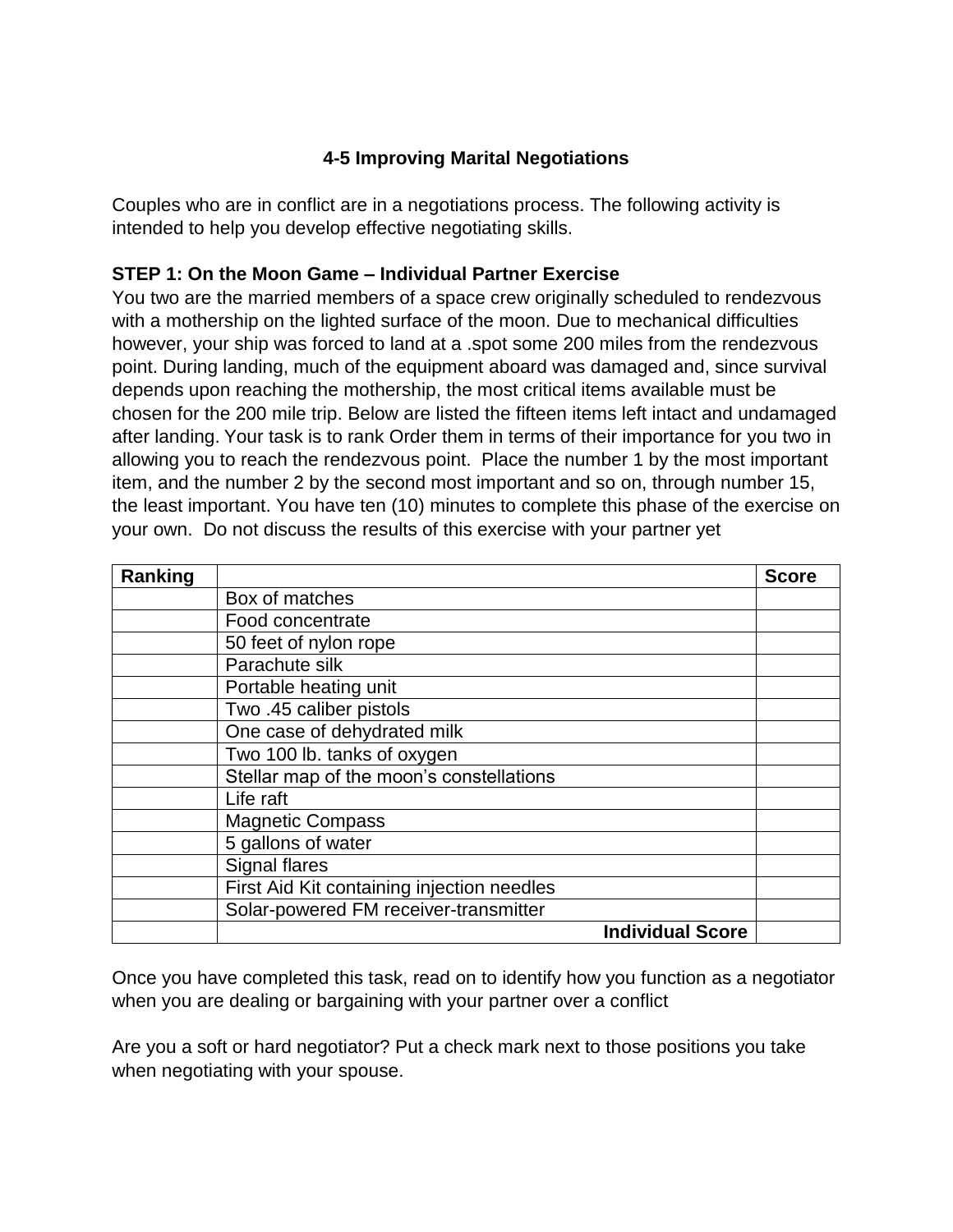# **4-5 Improving Marital Negotiations**

Couples who are in conflict are in a negotiations process. The following activity is intended to help you develop effective negotiating skills.

# **STEP 1: On the Moon Game – Individual Partner Exercise**

You two are the married members of a space crew originally scheduled to rendezvous with a mothership on the lighted surface of the moon. Due to mechanical difficulties however, your ship was forced to land at a .spot some 200 miles from the rendezvous point. During landing, much of the equipment aboard was damaged and, since survival depends upon reaching the mothership, the most critical items available must be chosen for the 200 mile trip. Below are listed the fifteen items left intact and undamaged after landing. Your task is to rank Order them in terms of their importance for you two in allowing you to reach the rendezvous point. Place the number 1 by the most important item, and the number 2 by the second most important and so on, through number 15, the least important. You have ten (10) minutes to complete this phase of the exercise on your own. Do not discuss the results of this exercise with your partner yet

| Ranking |                                            | <b>Score</b> |
|---------|--------------------------------------------|--------------|
|         | Box of matches                             |              |
|         | Food concentrate                           |              |
|         | 50 feet of nylon rope                      |              |
|         | Parachute silk                             |              |
|         | Portable heating unit                      |              |
|         | Two .45 caliber pistols                    |              |
|         | One case of dehydrated milk                |              |
|         | Two 100 lb. tanks of oxygen                |              |
|         | Stellar map of the moon's constellations   |              |
|         | Life raft                                  |              |
|         | <b>Magnetic Compass</b>                    |              |
|         | 5 gallons of water                         |              |
|         | Signal flares                              |              |
|         | First Aid Kit containing injection needles |              |
|         | Solar-powered FM receiver-transmitter      |              |
|         | <b>Individual Score</b>                    |              |

Once you have completed this task, read on to identify how you function as a negotiator when you are dealing or bargaining with your partner over a conflict

Are you a soft or hard negotiator? Put a check mark next to those positions you take when negotiating with your spouse.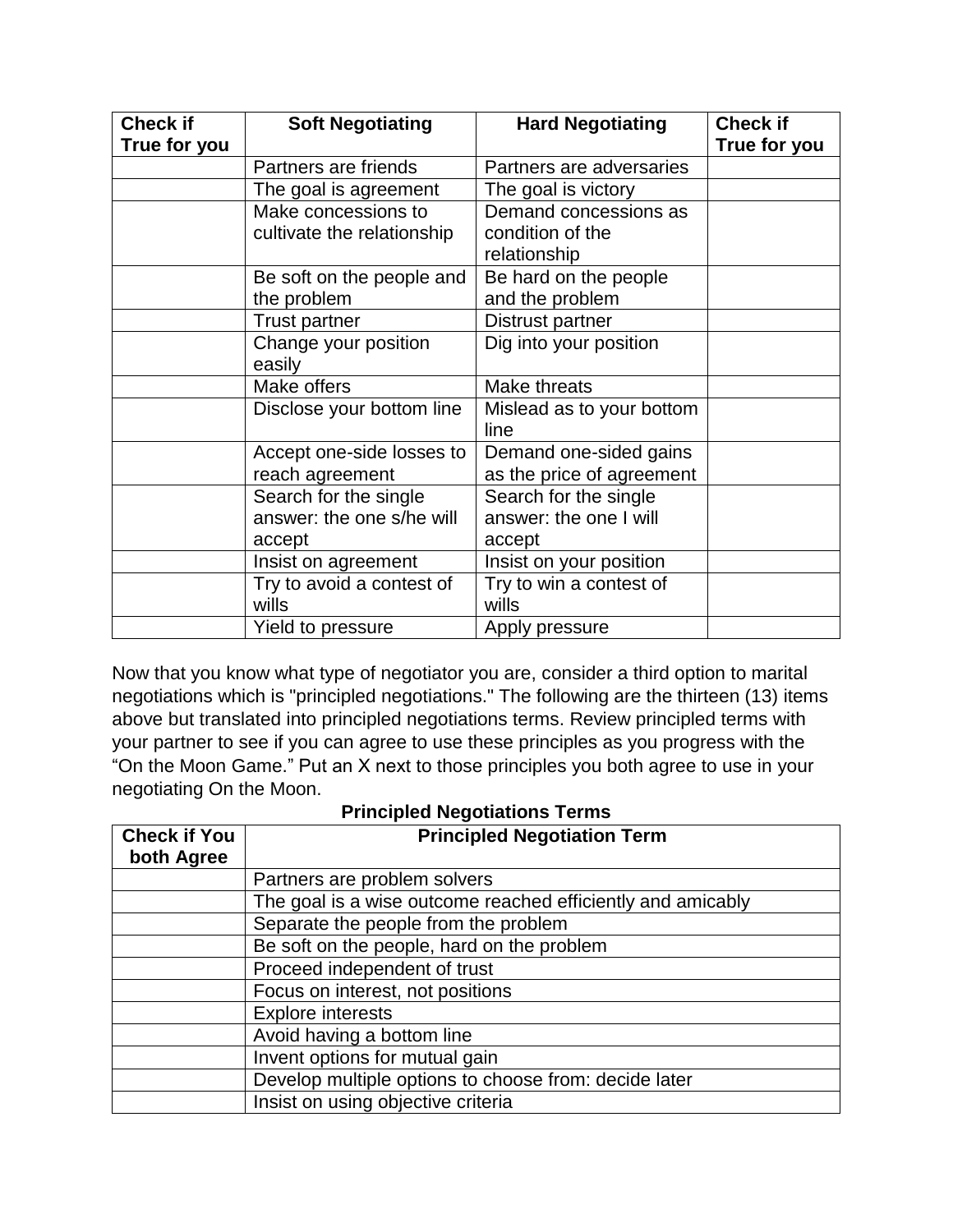| <b>Check if</b> | <b>Soft Negotiating</b>    | <b>Hard Negotiating</b>   | <b>Check if</b> |
|-----------------|----------------------------|---------------------------|-----------------|
| True for you    |                            |                           | True for you    |
|                 | Partners are friends       | Partners are adversaries  |                 |
|                 | The goal is agreement      | The goal is victory       |                 |
|                 | Make concessions to        | Demand concessions as     |                 |
|                 | cultivate the relationship | condition of the          |                 |
|                 |                            | relationship              |                 |
|                 | Be soft on the people and  | Be hard on the people     |                 |
|                 | the problem                | and the problem           |                 |
|                 | Trust partner              | Distrust partner          |                 |
|                 | Change your position       | Dig into your position    |                 |
|                 | easily                     |                           |                 |
|                 | Make offers                | Make threats              |                 |
|                 | Disclose your bottom line  | Mislead as to your bottom |                 |
|                 |                            | line                      |                 |
|                 | Accept one-side losses to  | Demand one-sided gains    |                 |
|                 | reach agreement            | as the price of agreement |                 |
|                 | Search for the single      | Search for the single     |                 |
|                 | answer: the one s/he will  | answer: the one I will    |                 |
|                 | accept                     | accept                    |                 |
|                 | Insist on agreement        | Insist on your position   |                 |
|                 | Try to avoid a contest of  | Try to win a contest of   |                 |
|                 | wills                      | wills                     |                 |
|                 | Yield to pressure          | Apply pressure            |                 |

Now that you know what type of negotiator you are, consider a third option to marital negotiations which is "principled negotiations." The following are the thirteen (13) items above but translated into principled negotiations terms. Review principled terms with your partner to see if you can agree to use these principles as you progress with the "On the Moon Game." Put an X next to those principles you both agree to use in your negotiating On the Moon.

| Principled Negotiations Terms |                                                             |  |  |  |
|-------------------------------|-------------------------------------------------------------|--|--|--|
| <b>Check if You</b>           | <b>Principled Negotiation Term</b>                          |  |  |  |
| both Agree                    |                                                             |  |  |  |
|                               | Partners are problem solvers                                |  |  |  |
|                               | The goal is a wise outcome reached efficiently and amicably |  |  |  |
|                               | Separate the people from the problem                        |  |  |  |
|                               | Be soft on the people, hard on the problem                  |  |  |  |
|                               | Proceed independent of trust                                |  |  |  |
|                               | Focus on interest, not positions                            |  |  |  |
|                               | <b>Explore interests</b>                                    |  |  |  |
|                               | Avoid having a bottom line                                  |  |  |  |
|                               | Invent options for mutual gain                              |  |  |  |
|                               | Develop multiple options to choose from: decide later       |  |  |  |
|                               | Insist on using objective criteria                          |  |  |  |

#### **Principled Negotiations Terms**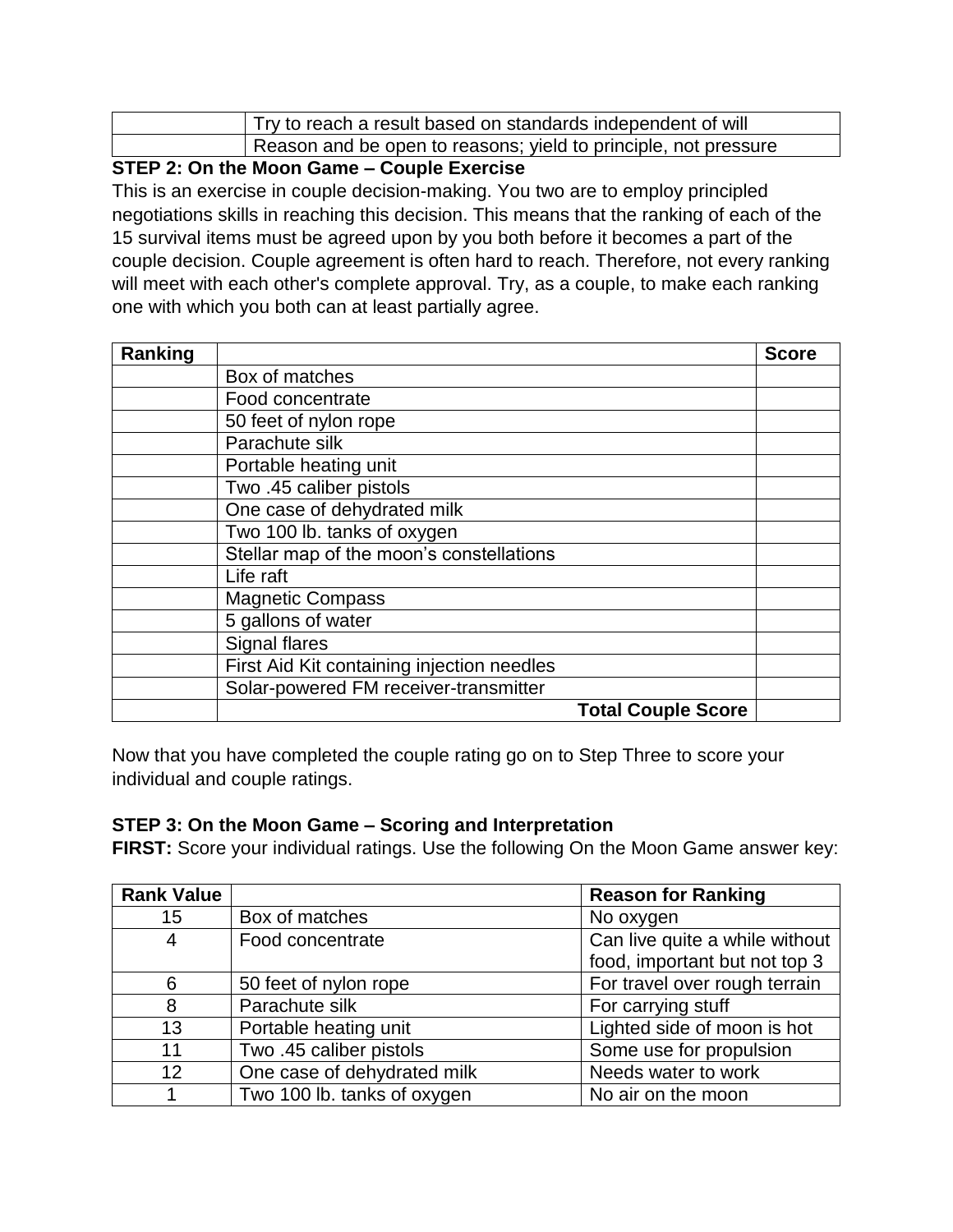| Try to reach a result based on standards independent of will    |
|-----------------------------------------------------------------|
| Reason and be open to reasons; yield to principle, not pressure |

#### **STEP 2: On the Moon Game – Couple Exercise**

This is an exercise in couple decision-making. You two are to employ principled negotiations skills in reaching this decision. This means that the ranking of each of the 15 survival items must be agreed upon by you both before it becomes a part of the couple decision. Couple agreement is often hard to reach. Therefore, not every ranking will meet with each other's complete approval. Try, as a couple, to make each ranking one with which you both can at least partially agree.

| Ranking |                                            |                           | <b>Score</b> |
|---------|--------------------------------------------|---------------------------|--------------|
|         | Box of matches                             |                           |              |
|         | Food concentrate                           |                           |              |
|         | 50 feet of nylon rope                      |                           |              |
|         | Parachute silk                             |                           |              |
|         | Portable heating unit                      |                           |              |
|         | Two .45 caliber pistols                    |                           |              |
|         | One case of dehydrated milk                |                           |              |
|         | Two 100 lb. tanks of oxygen                |                           |              |
|         | Stellar map of the moon's constellations   |                           |              |
|         | Life raft                                  |                           |              |
|         | <b>Magnetic Compass</b>                    |                           |              |
|         | 5 gallons of water                         |                           |              |
|         | Signal flares                              |                           |              |
|         | First Aid Kit containing injection needles |                           |              |
|         | Solar-powered FM receiver-transmitter      |                           |              |
|         |                                            | <b>Total Couple Score</b> |              |

Now that you have completed the couple rating go on to Step Three to score your individual and couple ratings.

#### **STEP 3: On the Moon Game – Scoring and Interpretation**

**FIRST:** Score your individual ratings. Use the following On the Moon Game answer key:

| <b>Rank Value</b> |                             | <b>Reason for Ranking</b>      |
|-------------------|-----------------------------|--------------------------------|
| 15                | Box of matches              | No oxygen                      |
| 4                 | Food concentrate            | Can live quite a while without |
|                   |                             | food, important but not top 3  |
| 6                 | 50 feet of nylon rope       | For travel over rough terrain  |
| 8                 | Parachute silk              | For carrying stuff             |
| 13                | Portable heating unit       | Lighted side of moon is hot    |
| 11                | Two .45 caliber pistols     | Some use for propulsion        |
| 12                | One case of dehydrated milk | Needs water to work            |
|                   | Two 100 lb. tanks of oxygen | No air on the moon             |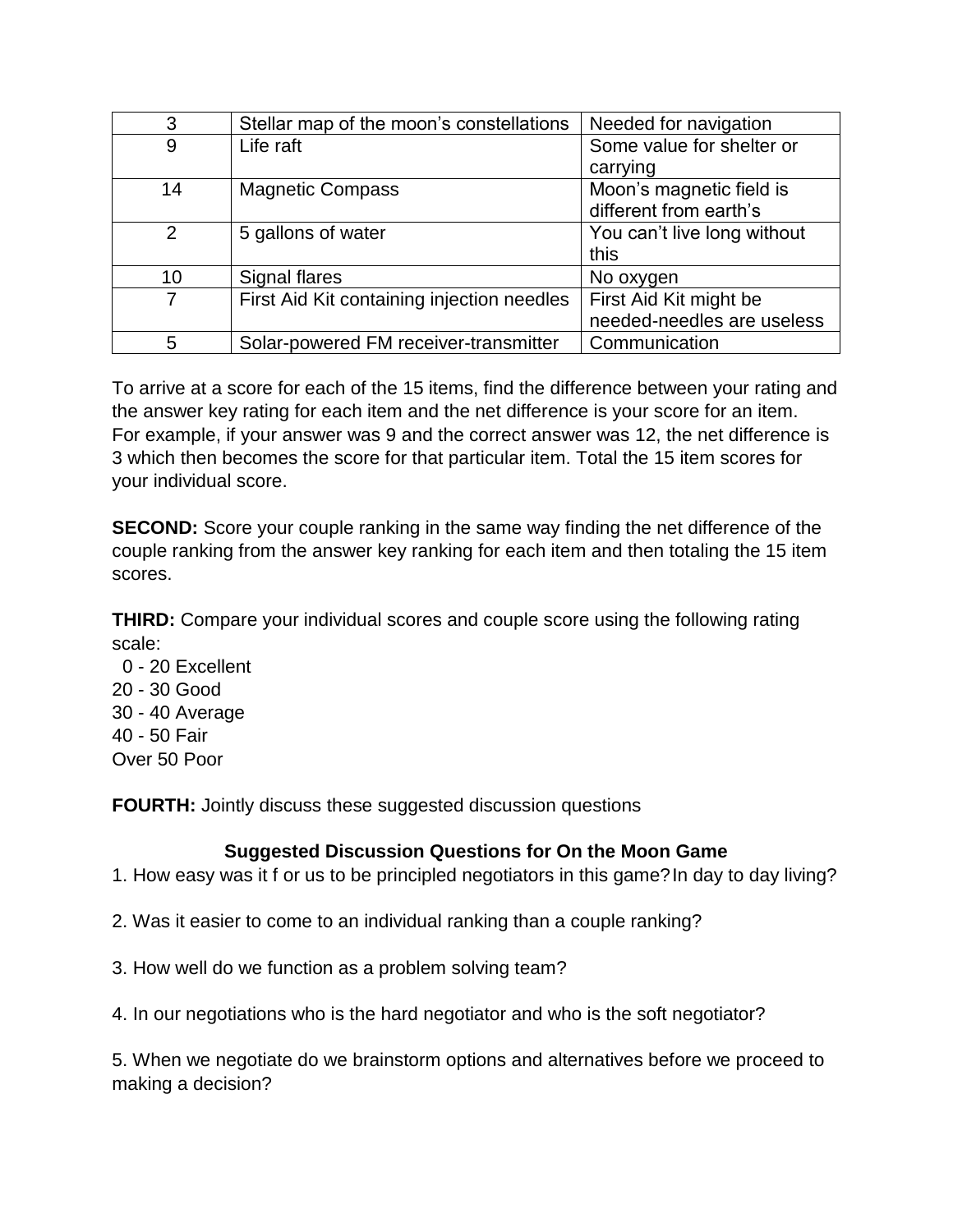| 3  | Stellar map of the moon's constellations   | Needed for navigation       |
|----|--------------------------------------------|-----------------------------|
| 9  | Life raft                                  | Some value for shelter or   |
|    |                                            | carrying                    |
| 14 | <b>Magnetic Compass</b>                    | Moon's magnetic field is    |
|    |                                            | different from earth's      |
| 2  | 5 gallons of water                         | You can't live long without |
|    |                                            | this                        |
| 10 | Signal flares                              | No oxygen                   |
| 7  | First Aid Kit containing injection needles | First Aid Kit might be      |
|    |                                            | needed-needles are useless  |
| 5  | Solar-powered FM receiver-transmitter      | Communication               |

To arrive at a score for each of the 15 items, find the difference between your rating and the answer key rating for each item and the net difference is your score for an item. For example, if your answer was 9 and the correct answer was 12, the net difference is 3 which then becomes the score for that particular item. Total the 15 item scores for your individual score.

**SECOND:** Score your couple ranking in the same way finding the net difference of the couple ranking from the answer key ranking for each item and then totaling the 15 item scores.

**THIRD:** Compare your individual scores and couple score using the following rating scale:

 0 - 20 Excellent 20 - 30 Good 30 - 40 Average 40 - 50 Fair Over 50 Poor

**FOURTH:** Jointly discuss these suggested discussion questions

#### **Suggested Discussion Questions for On the Moon Game**

1. How easy was it f or us to be principled negotiators in this game?In day to day living?

2. Was it easier to come to an individual ranking than a couple ranking?

- 3. How well do we function as a problem solving team?
- 4. In our negotiations who is the hard negotiator and who is the soft negotiator?

5. When we negotiate do we brainstorm options and alternatives before we proceed to making a decision?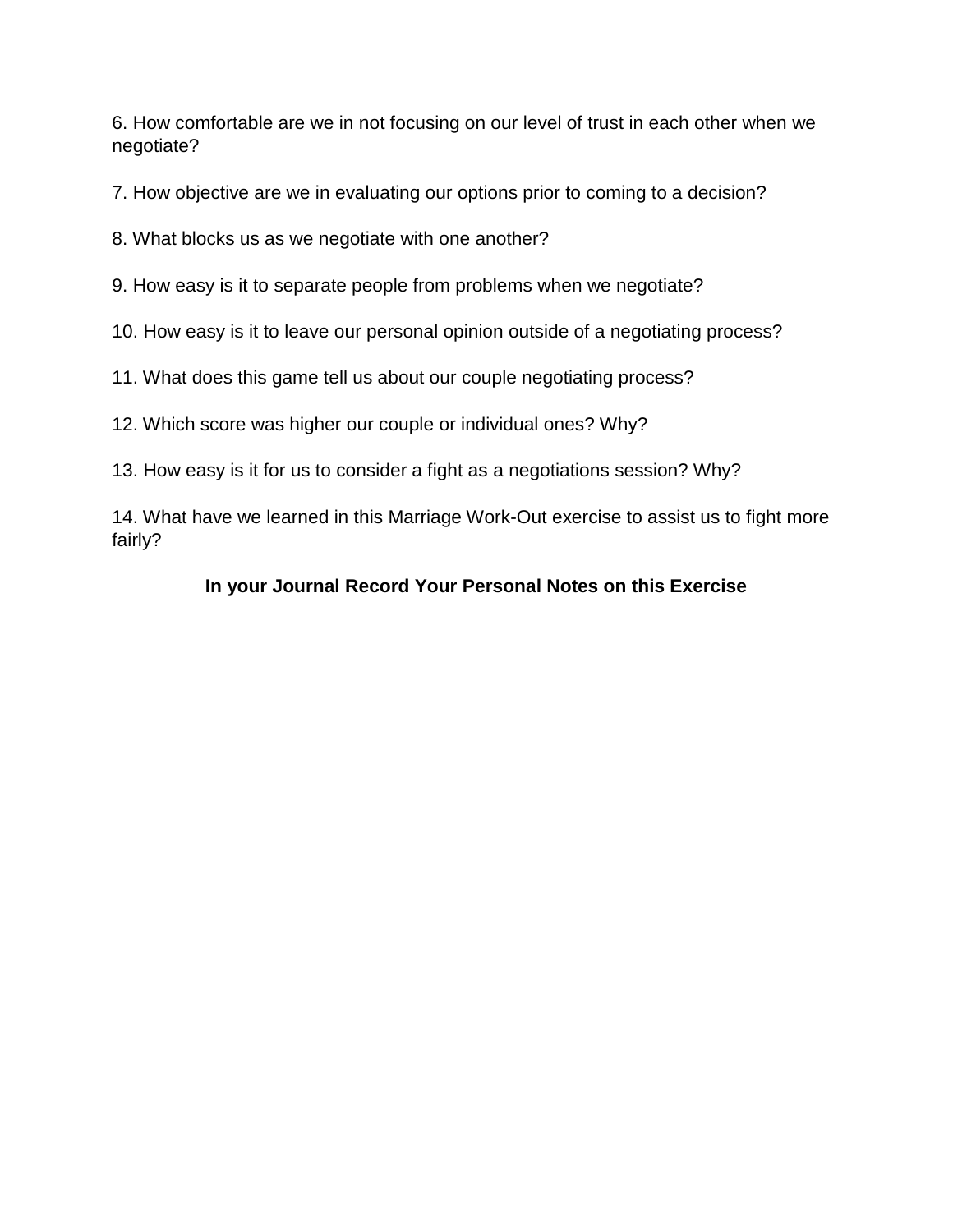6. How comfortable are we in not focusing on our level of trust in each other when we negotiate?

7. How objective are we in evaluating our options prior to coming to a decision?

8. What blocks us as we negotiate with one another?

9. How easy is it to separate people from problems when we negotiate?

10. How easy is it to leave our personal opinion outside of a negotiating process?

11. What does this game tell us about our couple negotiating process?

12. Which score was higher our couple or individual ones? Why?

13. How easy is it for us to consider a fight as a negotiations session? Why?

14. What have we learned in this Marriage Work-Out exercise to assist us to fight more fairly?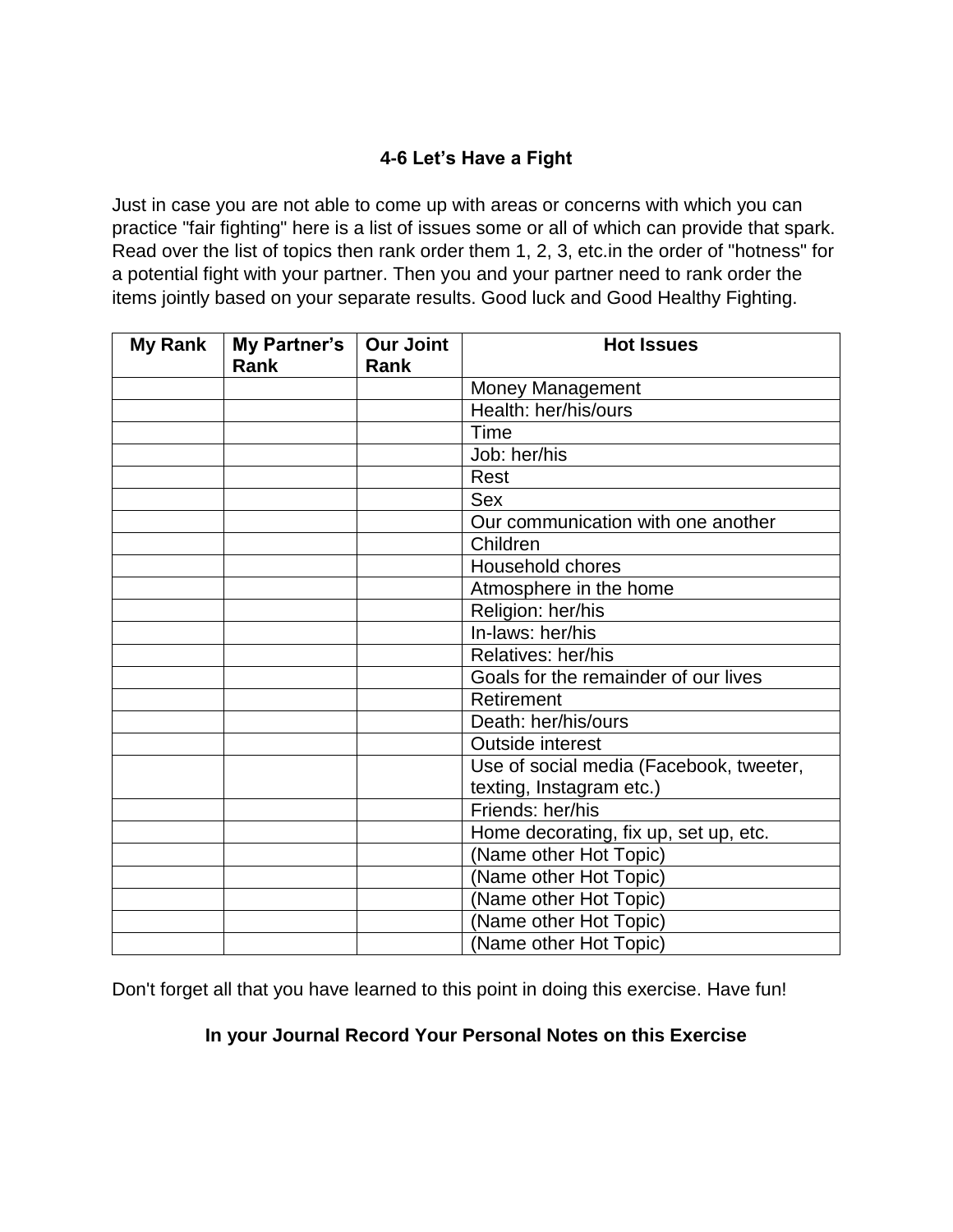# **4-6 Let's Have a Fight**

Just in case you are not able to come up with areas or concerns with which you can practice "fair fighting" here is a list of issues some or all of which can provide that spark. Read over the list of topics then rank order them 1, 2, 3, etc.in the order of "hotness" for a potential fight with your partner. Then you and your partner need to rank order the items jointly based on your separate results. Good luck and Good Healthy Fighting.

| <b>My Rank</b> | My Partner's<br>Rank | <b>Our Joint</b><br>Rank | <b>Hot Issues</b>                       |
|----------------|----------------------|--------------------------|-----------------------------------------|
|                |                      |                          | <b>Money Management</b>                 |
|                |                      |                          | Health: her/his/ours                    |
|                |                      |                          | Time                                    |
|                |                      |                          | Job: her/his                            |
|                |                      |                          | Rest                                    |
|                |                      |                          | <b>Sex</b>                              |
|                |                      |                          | Our communication with one another      |
|                |                      |                          | Children                                |
|                |                      |                          | <b>Household chores</b>                 |
|                |                      |                          | Atmosphere in the home                  |
|                |                      |                          | Religion: her/his                       |
|                |                      |                          | In-laws: her/his                        |
|                |                      |                          | Relatives: her/his                      |
|                |                      |                          | Goals for the remainder of our lives    |
|                |                      |                          | Retirement                              |
|                |                      |                          | Death: her/his/ours                     |
|                |                      |                          | <b>Outside interest</b>                 |
|                |                      |                          | Use of social media (Facebook, tweeter, |
|                |                      |                          | texting, Instagram etc.)                |
|                |                      |                          | Friends: her/his                        |
|                |                      |                          | Home decorating, fix up, set up, etc.   |
|                |                      |                          | (Name other Hot Topic)                  |
|                |                      |                          | (Name other Hot Topic)                  |
|                |                      |                          | (Name other Hot Topic)                  |
|                |                      |                          | (Name other Hot Topic)                  |
|                |                      |                          | (Name other Hot Topic)                  |

Don't forget all that you have learned to this point in doing this exercise. Have fun!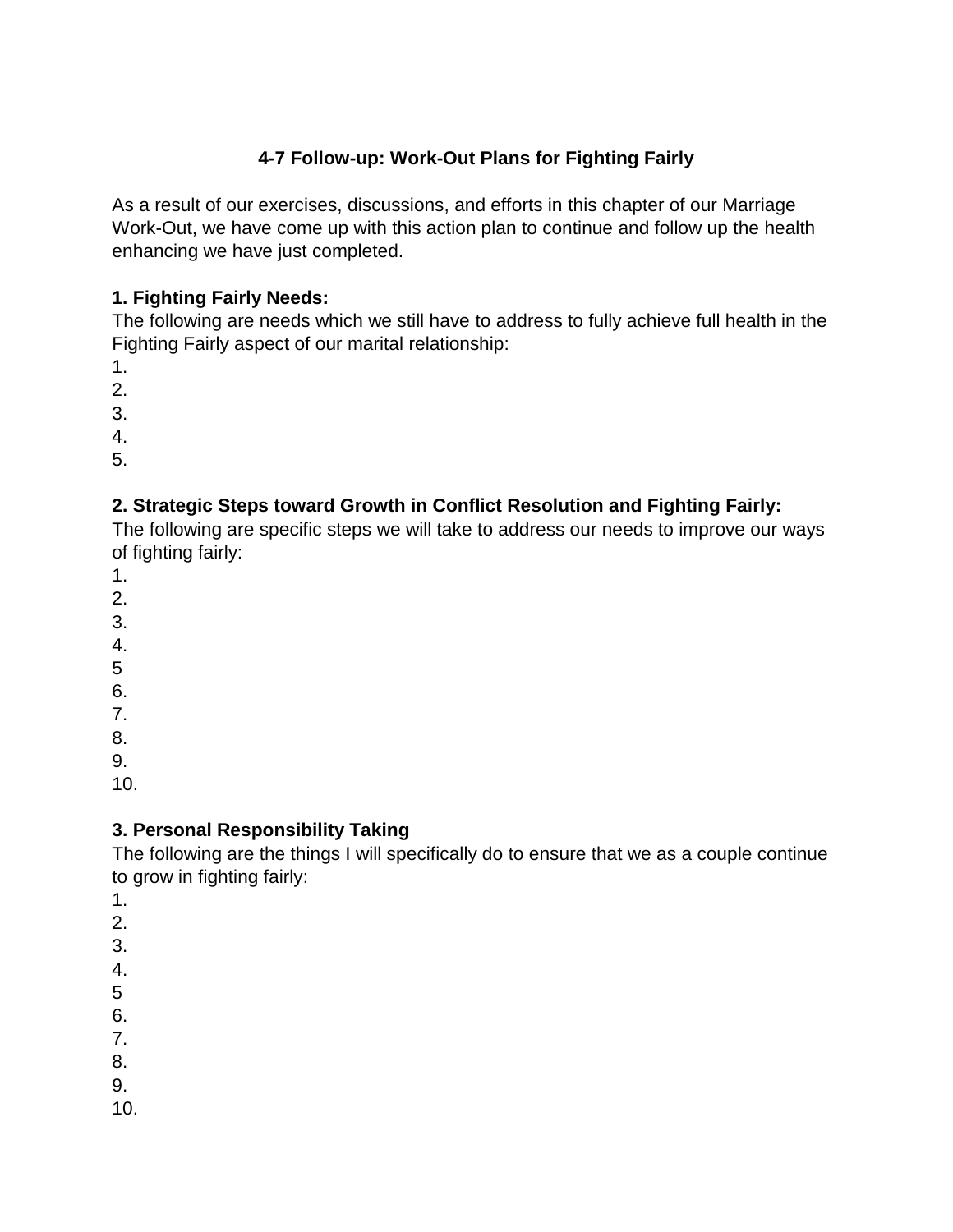# **4-7 Follow-up: Work-Out Plans for Fighting Fairly**

As a result of our exercises, discussions, and efforts in this chapter of our Marriage Work-Out, we have come up with this action plan to continue and follow up the health enhancing we have just completed.

# **1. Fighting Fairly Needs:**

The following are needs which we still have to address to fully achieve full health in the Fighting Fairly aspect of our marital relationship:

1.

2.

3.

4.

5.

# **2. Strategic Steps toward Growth in Conflict Resolution and Fighting Fairly:**

The following are specific steps we will take to address our needs to improve our ways of fighting fairly:

1.

- 2.
- 3.
- 4.
- 5
- 6.

7.

8.

9.

10.

# **3. Personal Responsibility Taking**

The following are the things I will specifically do to ensure that we as a couple continue to grow in fighting fairly:

- 1.
- 2.
- 3.
- 4.
- 5
- 6.
- 7.
- 8.

9.

10.